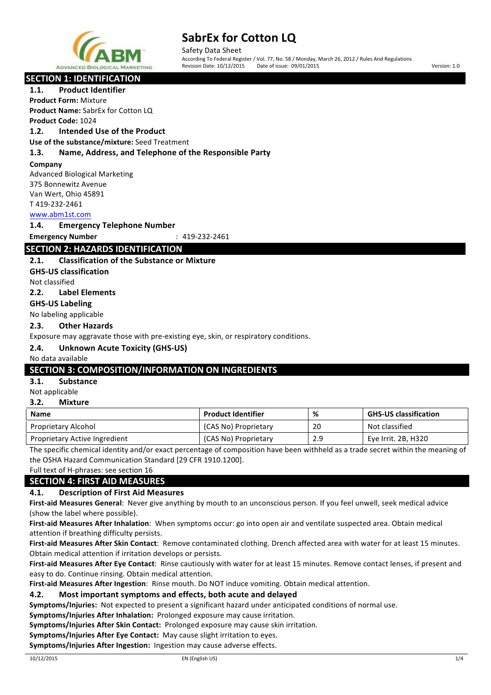

Safety Data Sheet According To Federal Register / Vol. 77, No. 58 / Monday, March 26, 2012 / Rules And Regulations Revision Date: 10/12/2015 Date of issue: 09/01/2015 Version: 1.0

# **SECTION 1: IDENTIFICATION**

1.1. **Product Identifier** 

**Product Form:** Mixture **Product Name:** SabrEx for Cotton LQ **Product Code:** 1024

### **1.2. Intended Use of the Product**

**Use of the substance/mixture:** Seed Treatment

#### **1.3. Name, Address, and Telephone of the Responsible Party**

#### **Company**

Advanced Biological Marketing 375 Bonnewitz Avenue Van Wert, Ohio 45891 T 419-232-2461

#### www.abm1st.com

#### **1.4. Emergency Telephone Number**

**Emergency Number** : 419-232-2461

# **SECTION 2: HAZARDS IDENTIFICATION**

#### **2.1.** Classification of the Substance or Mixture

**GHS-US classification**

Not classified

**2.2. Label Elements**

#### **GHS-US Labeling**

No labeling applicable

#### **2.3. Other Hazards**

Exposure may aggravate those with pre-existing eye, skin, or respiratory conditions.

### **2.4. Unknown Acute Toxicity (GHS-US)**

#### No data available

### **SECTION 3: COMPOSITION/INFORMATION ON INGREDIENTS**

#### **3.1. Substance**

Not applicable

### **3.2. Mixture**

| <b>Name</b>                   | <b>Product Identifier</b> | %   | <b>GHS-US classification</b> |
|-------------------------------|---------------------------|-----|------------------------------|
| Proprietary Alcohol           | (CAS No) Proprietary      | 20  | Not classified               |
| Proprietary Active Ingredient | (CAS No) Proprietary      | 2.9 | Eye Irrit. 2B, H320          |

The specific chemical identity and/or exact percentage of composition have been withheld as a trade secret within the meaning of the OSHA Hazard Communication Standard [29 CFR 1910.1200].

Full text of H-phrases: see section 16

# **SECTION 4: FIRST AID MEASURES**

### **4.1. Description of First Aid Measures**

First-aid Measures General: Never give anything by mouth to an unconscious person. If you feel unwell, seek medical advice (show the label where possible).

First-aid Measures After Inhalation: When symptoms occur: go into open air and ventilate suspected area. Obtain medical attention if breathing difficulty persists.

First-aid Measures After Skin Contact: Remove contaminated clothing. Drench affected area with water for at least 15 minutes. Obtain medical attention if irritation develops or persists.

First-aid Measures After Eye Contact: Rinse cautiously with water for at least 15 minutes. Remove contact lenses, if present and easy to do. Continue rinsing. Obtain medical attention.

**First-aid Measures After Ingestion:** Rinse mouth. Do NOT induce vomiting. Obtain medical attention.

#### **4.2.** Most important symptoms and effects, both acute and delayed

**Symptoms/Injuries:** Not expected to present a significant hazard under anticipated conditions of normal use.

**Symptoms/Injuries After Inhalation:** Prolonged exposure may cause irritation.

**Symptoms/Injuries After Skin Contact:** Prolonged exposure may cause skin irritation.

**Symptoms/Injuries After Eye Contact:** May cause slight irritation to eyes.

**Symptoms/Injuries After Ingestion:** Ingestion may cause adverse effects.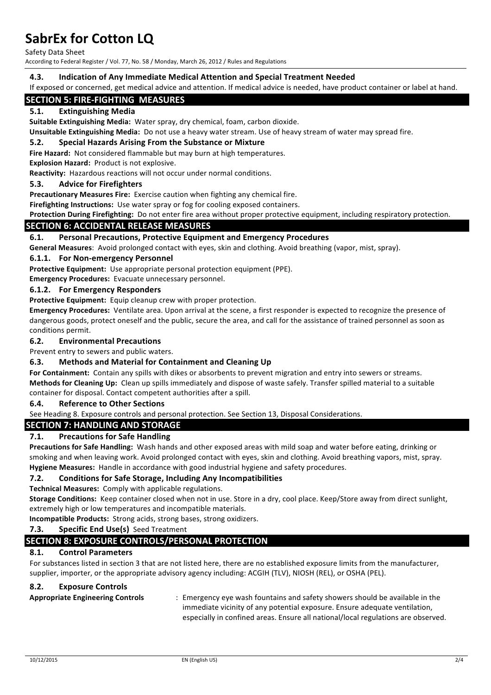Safety Data Sheet

According to Federal Register / Vol. 77, No. 58 / Monday, March 26, 2012 / Rules and Regulations

#### **4.3. Indication of Any Immediate Medical Attention and Special Treatment Needed**

If exposed or concerned, get medical advice and attention. If medical advice is needed, have product container or label at hand.

# **SECTION 5: FIRE-FIGHTING MEASURES**

#### **5.1. Extinguishing Media**

**Suitable Extinguishing Media:** Water spray, dry chemical, foam, carbon dioxide.

**Unsuitable Extinguishing Media:** Do not use a heavy water stream. Use of heavy stream of water may spread fire.

#### **5.2.** Special Hazards Arising From the Substance or Mixture

Fire Hazard: Not considered flammable but may burn at high temperatures.

**Explosion Hazard: Product is not explosive.** 

**Reactivity:** Hazardous reactions will not occur under normal conditions.

#### **5.3.** Advice for Firefighters

**Precautionary Measures Fire:** Exercise caution when fighting any chemical fire.

**Firefighting Instructions:** Use water spray or fog for cooling exposed containers.

Protection During Firefighting: Do not enter fire area without proper protective equipment, including respiratory protection.

#### **SECTION 6: ACCIDENTAL RELEASE MEASURES**

#### **6.1.** Personal Precautions, Protective Equipment and Emergency Procedures

General Measures: Avoid prolonged contact with eyes, skin and clothing. Avoid breathing (vapor, mist, spray).

#### **6.1.1. For Non-emergency Personnel**

**Protective Equipment:** Use appropriate personal protection equipment (PPE).

**Emergency Procedures:** Evacuate unnecessary personnel.

#### **6.1.2. For Emergency Responders**

**Protective Equipment:** Equip cleanup crew with proper protection.

**Emergency Procedures:** Ventilate area. Upon arrival at the scene, a first responder is expected to recognize the presence of dangerous goods, protect oneself and the public, secure the area, and call for the assistance of trained personnel as soon as conditions permit.

#### **6.2. Environmental Precautions**

Prevent entry to sewers and public waters.

#### **6.3.** Methods and Material for Containment and Cleaning Up

For Containment: Contain any spills with dikes or absorbents to prevent migration and entry into sewers or streams. Methods for Cleaning Up: Clean up spills immediately and dispose of waste safely. Transfer spilled material to a suitable container for disposal. Contact competent authorities after a spill.

#### **6.4. Reference to Other Sections**

See Heading 8. Exposure controls and personal protection. See Section 13, Disposal Considerations.

#### **SECTION 7: HANDLING AND STORAGE**

#### **7.1.** Precautions for Safe Handling

**Precautions for Safe Handling:** Wash hands and other exposed areas with mild soap and water before eating, drinking or smoking and when leaving work. Avoid prolonged contact with eyes, skin and clothing. Avoid breathing vapors, mist, spray. **Hygiene Measures:** Handle in accordance with good industrial hygiene and safety procedures.

#### **7.2.** Conditions for Safe Storage, Including Any Incompatibilities

**Technical Measures:** Comply with applicable regulations.

Storage Conditions: Keep container closed when not in use. Store in a dry, cool place. Keep/Store away from direct sunlight, extremely high or low temperatures and incompatible materials.

**Incompatible Products:** Strong acids, strong bases, strong oxidizers.

#### **7.3. Specific End Use(s)** Seed Treatment

### **SECTION 8: EXPOSURE CONTROLS/PERSONAL PROTECTION**

#### **8.1. Control Parameters**

For substances listed in section 3 that are not listed here, there are no established exposure limits from the manufacturer, supplier, importer, or the appropriate advisory agency including: ACGIH (TLV), NIOSH (REL), or OSHA (PEL).

#### **8.2. Exposure Controls**

**Appropriate Engineering Controls** : Emergency eye wash fountains and safety showers should be available in the immediate vicinity of any potential exposure. Ensure adequate ventilation, especially in confined areas. Ensure all national/local regulations are observed.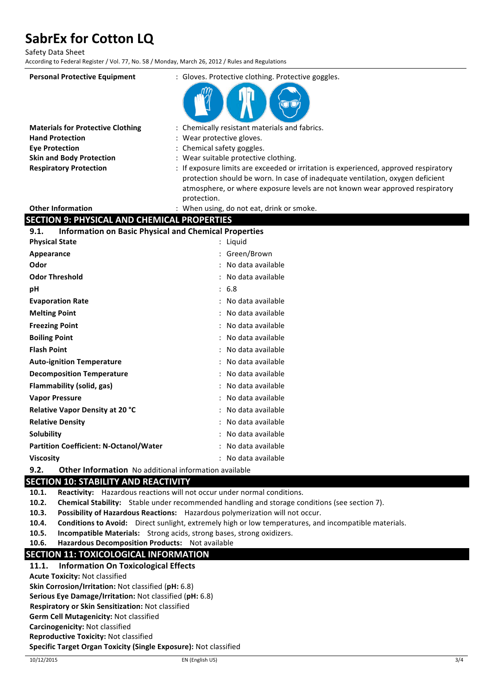Safety Data Sheet

According to Federal Register / Vol. 77, No. 58 / Monday, March 26, 2012 / Rules and Regulations

| <b>Personal Protective Equipment</b>                                 | : Gloves. Protective clothing. Protective goggles.                                                                                                                     |  |
|----------------------------------------------------------------------|------------------------------------------------------------------------------------------------------------------------------------------------------------------------|--|
|                                                                      |                                                                                                                                                                        |  |
| <b>Materials for Protective Clothing</b>                             | : Chemically resistant materials and fabrics.                                                                                                                          |  |
| <b>Hand Protection</b>                                               | : Wear protective gloves.                                                                                                                                              |  |
| <b>Eye Protection</b>                                                | : Chemical safety goggles.                                                                                                                                             |  |
| <b>Skin and Body Protection</b>                                      | : Wear suitable protective clothing.                                                                                                                                   |  |
| <b>Respiratory Protection</b>                                        | : If exposure limits are exceeded or irritation is experienced, approved respiratory<br>protection should be worn. In case of inadequate ventilation, oxygen deficient |  |
|                                                                      | atmosphere, or where exposure levels are not known wear approved respiratory                                                                                           |  |
|                                                                      | protection.                                                                                                                                                            |  |
| <b>Other Information</b>                                             | : When using, do not eat, drink or smoke.                                                                                                                              |  |
| <b>SECTION 9: PHYSICAL AND CHEMICAL PROPERTIES</b>                   |                                                                                                                                                                        |  |
| <b>Information on Basic Physical and Chemical Properties</b><br>9.1. |                                                                                                                                                                        |  |
| <b>Physical State</b>                                                | : Liquid                                                                                                                                                               |  |
| Appearance                                                           | : Green/Brown                                                                                                                                                          |  |
| Odor                                                                 | : No data available                                                                                                                                                    |  |
| <b>Odor Threshold</b>                                                | : No data available                                                                                                                                                    |  |
| рH                                                                   | : 6.8                                                                                                                                                                  |  |
| <b>Evaporation Rate</b>                                              | No data available                                                                                                                                                      |  |
| <b>Melting Point</b>                                                 | : No data available                                                                                                                                                    |  |
| <b>Freezing Point</b>                                                | No data available                                                                                                                                                      |  |
| <b>Boiling Point</b>                                                 | : No data available                                                                                                                                                    |  |
| <b>Flash Point</b>                                                   | : No data available                                                                                                                                                    |  |
| <b>Auto-ignition Temperature</b>                                     | : No data available                                                                                                                                                    |  |
| <b>Decomposition Temperature</b>                                     | : No data available                                                                                                                                                    |  |
| Flammability (solid, gas)                                            | : No data available                                                                                                                                                    |  |
| <b>Vapor Pressure</b>                                                | : No data available                                                                                                                                                    |  |
| Relative Vapor Density at 20 °C                                      | : No data available                                                                                                                                                    |  |
| <b>Relative Density</b>                                              | No data available                                                                                                                                                      |  |
| Solubility                                                           | : No data available                                                                                                                                                    |  |
| <b>Partition Coefficient: N-Octanol/Water</b>                        | : No data available                                                                                                                                                    |  |
| <b>Viscosity</b>                                                     | : No data available                                                                                                                                                    |  |
| 9.2.<br><b>Other Information</b> No additional information available |                                                                                                                                                                        |  |

# **SECTION 10: STABILITY AND REACTIVITY**

**10.1.** Reactivity: Hazardous reactions will not occur under normal conditions.

**10.2.** Chemical Stability: Stable under recommended handling and storage conditions (see section 7).

- **10.3.** Possibility of Hazardous Reactions: Hazardous polymerization will not occur.
- **10.4.** Conditions to Avoid: Direct sunlight, extremely high or low temperatures, and incompatible materials.
- **10.5.** Incompatible Materials: Strong acids, strong bases, strong oxidizers.

#### **10.6.** Hazardous Decomposition Products: Not available

# **SECTION 11: TOXICOLOGICAL INFORMATION**

# **11.1. Information On Toxicological Effects**

**Acute Toxicity: Not classified** 

**Skin Corrosion/Irritation:** Not classified (pH: 6.8)

**Serious Eye Damage/Irritation:** Not classified (pH: 6.8)

**Respiratory or Skin Sensitization:** Not classified

**Germ Cell Mutagenicity: Not classified** 

**Carcinogenicity: Not classified** 

**Reproductive Toxicity: Not classified** 

**Specific Target Organ Toxicity (Single Exposure):** Not classified